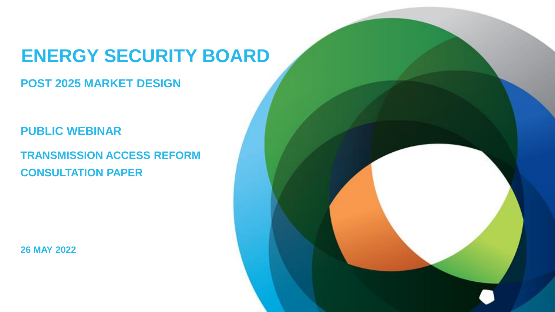# **ENERGY SECURITY BOARD**

## **POST 2025 MARKET DESIGN**

## **PUBLIC WEBINAR**

**TRANSMISSION ACCESS REFORM CONSULTATION PAPER**

**26 MAY 2022**

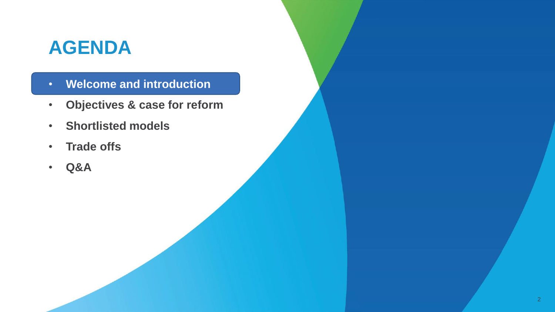## **AGENDA**

- **Welcome and introduction**
- **Objectives & case for reform**
- **Shortlisted models**
- **Trade offs**
- **Q&A**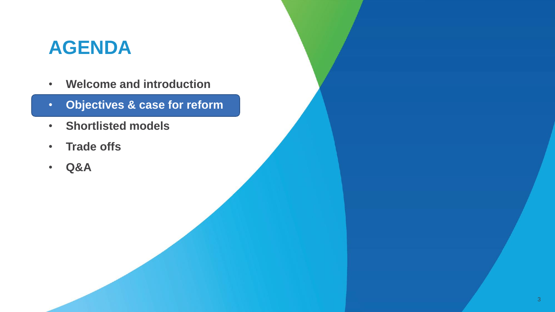## **AGENDA**

- **Welcome and introduction**
- **Objectives & case for reform**
- **Shortlisted models**
- **Trade offs**
- **Q&A**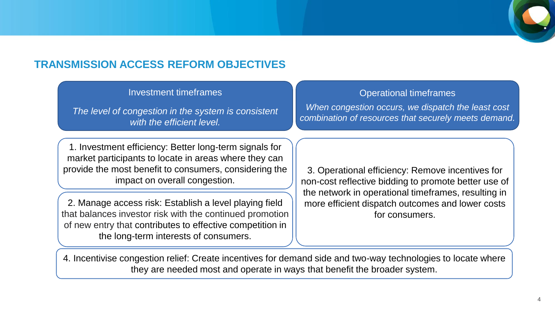

## **TRANSMISSION ACCESS REFORM OBJECTIVES**

#### Investment timeframes

*The level of congestion in the system is consistent with the efficient level.*

1. Investment efficiency: Better long-term signals for market participants to locate in areas where they can provide the most benefit to consumers, considering the impact on overall congestion.

2. Manage access risk: Establish a level playing field that balances investor risk with the continued promotion of new entry that contributes to effective competition in the long-term interests of consumers.

#### Operational timeframes

*When congestion occurs, we dispatch the least cost combination of resources that securely meets demand.*

3. Operational efficiency: Remove incentives for non-cost reflective bidding to promote better use of the network in operational timeframes, resulting in more efficient dispatch outcomes and lower costs for consumers.

4. Incentivise congestion relief: Create incentives for demand side and two-way technologies to locate where they are needed most and operate in ways that benefit the broader system.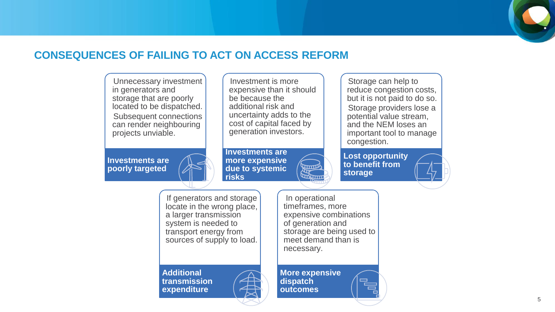

## **CONSEQUENCES OF FAILING TO ACT ON ACCESS REFORM**

Unnecessary investment in generators and storage that are poorly located to be dispatched. Subsequent connections can render neighbouring projects unviable.

**Investments are poorly targeted**

Investment is more expensive than it should be because the additional risk and uncertainty adds to the cost of capital faced by generation investors.

**Investments are more expensive due to systemic risks**

Storage can help to reduce congestion costs, but it is not paid to do so. Storage providers lose a potential value stream, and the NEM loses an important tool to manage congestion.

**Lost opportunity to benefit from storage**

If generators and storage locate in the wrong place, a larger transmission system is needed to transport energy from sources of supply to load.

**Additional transmission expenditure**



In operational timeframes, more expensive combinations of generation and storage are being used to meet demand than is necessary.

**More expensive dispatch outcomes**

**Report Andrew Common**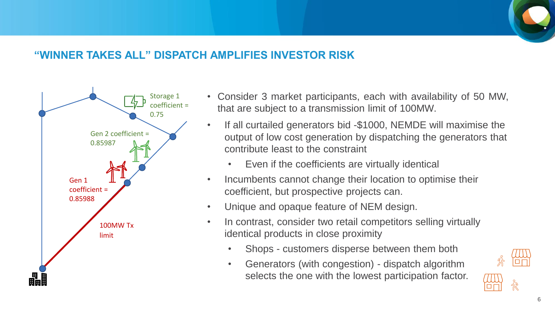## **"WINNER TAKES ALL" DISPATCH AMPLIFIES INVESTOR RISK**



- Consider 3 market participants, each with availability of 50 MW, that are subject to a transmission limit of 100MW.
- If all curtailed generators bid -\$1000, NEMDE will maximise the output of low cost generation by dispatching the generators that contribute least to the constraint
	- Even if the coefficients are virtually identical
- Incumbents cannot change their location to optimise their coefficient, but prospective projects can.
- Unique and opaque feature of NEM design.
- In contrast, consider two retail competitors selling virtually identical products in close proximity
	- Shops customers disperse between them both
	- Generators (with congestion) dispatch algorithm selects the one with the lowest participation factor.

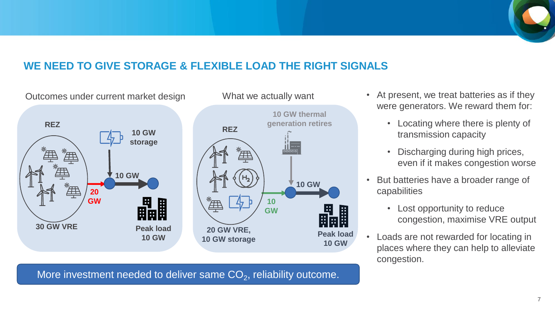

## **WE NEED TO GIVE STORAGE & FLEXIBLE LOAD THE RIGHT SIGNALS**



More investment needed to deliver same  $\mathsf{CO}_2$ , reliability outcome.

- At present, we treat batteries as if they were generators. We reward them for:
	- Locating where there is plenty of transmission capacity
	- Discharging during high prices, even if it makes congestion worse
- But batteries have a broader range of capabilities
	- Lost opportunity to reduce congestion, maximise VRE output
- Loads are not rewarded for locating in places where they can help to alleviate congestion.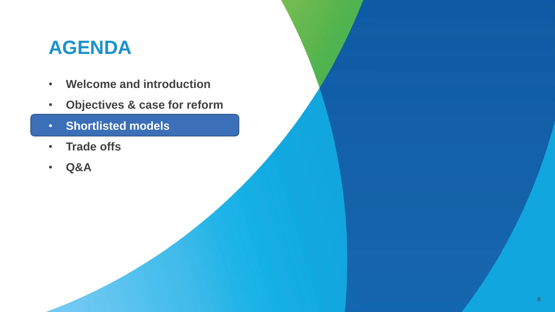## **AGENDA**

- **Welcome and introduction**
- **Objectives & case for reform**
- **Shortlisted models**
- **Trade offs**
- **Q&A**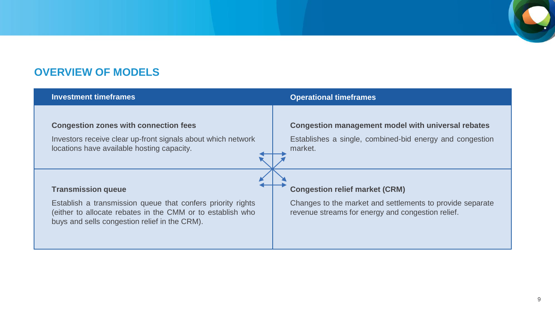

## **OVERVIEW OF MODELS**

| <b>Investment timeframes</b>                                                                                                                                                                            | <b>Operational timeframes</b>                                                                                                                           |
|---------------------------------------------------------------------------------------------------------------------------------------------------------------------------------------------------------|---------------------------------------------------------------------------------------------------------------------------------------------------------|
| <b>Congestion zones with connection fees</b><br>Investors receive clear up-front signals about which network<br>locations have available hosting capacity.                                              | <b>Congestion management model with universal rebates</b><br>Establishes a single, combined-bid energy and congestion<br>market.                        |
| <b>Transmission queue</b><br>Establish a transmission queue that confers priority rights<br>(either to allocate rebates in the CMM or to establish who<br>buys and sells congestion relief in the CRM). | <b>Congestion relief market (CRM)</b><br>Changes to the market and settlements to provide separate<br>revenue streams for energy and congestion relief. |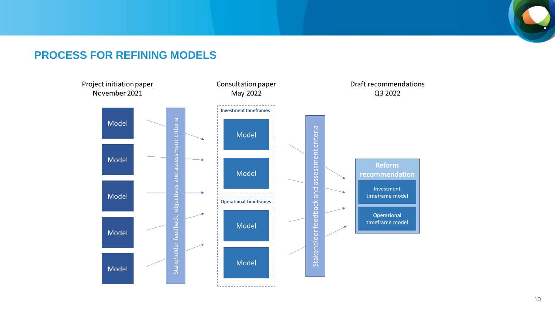### **PROCESS FOR REFINING MODELS**

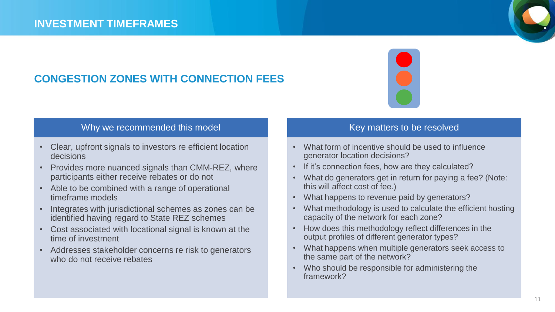## **CONGESTION ZONES WITH CONNECTION FEES**



### Why we recommended this model

- Clear, upfront signals to investors re efficient location decisions
- Provides more nuanced signals than CMM-REZ, where participants either receive rebates or do not
- Able to be combined with a range of operational timeframe models
- Integrates with jurisdictional schemes as zones can be identified having regard to State REZ schemes
- Cost associated with locational signal is known at the time of investment
- Addresses stakeholder concerns re risk to generators who do not receive rebates

- What form of incentive should be used to influence generator location decisions?
- If it's connection fees, how are they calculated?
- What do generators get in return for paying a fee? (Note: this will affect cost of fee.)
- What happens to revenue paid by generators?
- What methodology is used to calculate the efficient hosting capacity of the network for each zone?
- How does this methodology reflect differences in the output profiles of different generator types?
- What happens when multiple generators seek access to the same part of the network?
- Who should be responsible for administering the framework?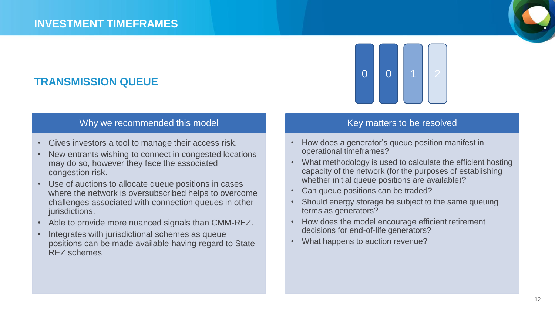## **TRANSMISSION QUEUE**

#### Why we recommended this model

- Gives investors a tool to manage their access risk.
- New entrants wishing to connect in congested locations may do so, however they face the associated congestion risk.
- Use of auctions to allocate queue positions in cases where the network is oversubscribed helps to overcome challenges associated with connection queues in other jurisdictions.
- Able to provide more nuanced signals than CMM-REZ.
- Integrates with jurisdictional schemes as queue positions can be made available having regard to State REZ schemes



- How does a generator's queue position manifest in operational timeframes?
- What methodology is used to calculate the efficient hosting capacity of the network (for the purposes of establishing whether initial queue positions are available)?
- Can queue positions can be traded?
- Should energy storage be subject to the same queuing terms as generators?
- How does the model encourage efficient retirement decisions for end-of-life generators?
- What happens to auction revenue?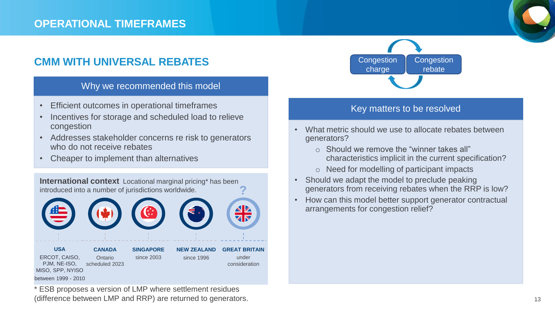### **OPERATIONAL TIMEFRAMES**

## **CMM WITH UNIVERSAL REBATES**

#### Why we recommended this model

- Efficient outcomes in operational timeframes
- Incentives for storage and scheduled load to relieve congestion
- Addresses stakeholder concerns re risk to generators who do not receive rebates
- Cheaper to implement than alternatives



\* ESB proposes a version of LMP where settlement residues (difference between LMP and RRP) are returned to generators.



- What metric should we use to allocate rebates between generators?
	- o Should we remove the "winner takes all" characteristics implicit in the current specification?
	- o Need for modelling of participant impacts
- Should we adapt the model to preclude peaking generators from receiving rebates when the RRP is low?
- How can this model better support generator contractual arrangements for congestion relief?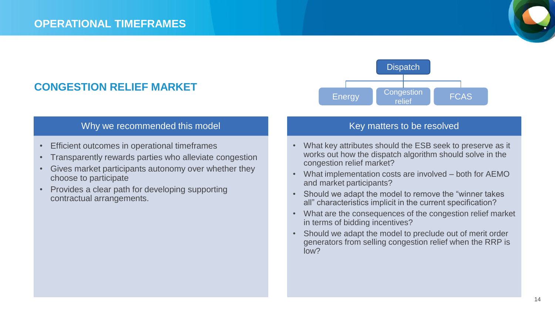### **CONGESTION RELIEF MARKET**

#### Why we recommended this model

- Efficient outcomes in operational timeframes
- Transparently rewards parties who alleviate congestion
- Gives market participants autonomy over whether they choose to participate
- Provides a clear path for developing supporting contractual arrangements.



- What key attributes should the ESB seek to preserve as it works out how the dispatch algorithm should solve in the congestion relief market?
- What implementation costs are involved both for AEMO and market participants?
- Should we adapt the model to remove the "winner takes all" characteristics implicit in the current specification?
- What are the consequences of the congestion relief market in terms of bidding incentives?
- Should we adapt the model to preclude out of merit order generators from selling congestion relief when the RRP is low?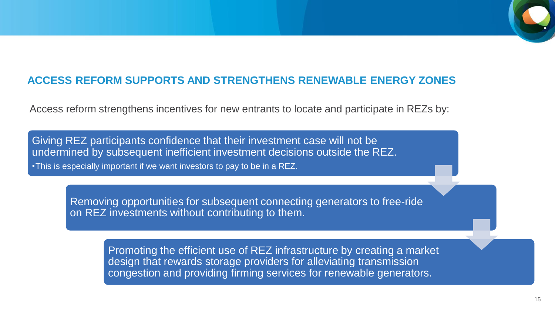## **ACCESS REFORM SUPPORTS AND STRENGTHENS RENEWABLE ENERGY ZONES**

Access reform strengthens incentives for new entrants to locate and participate in REZs by:

Giving REZ participants confidence that their investment case will not be undermined by subsequent inefficient investment decisions outside the REZ. •This is especially important if we want investors to pay to be in a REZ.

> Removing opportunities for subsequent connecting generators to free-ride on REZ investments without contributing to them.

> > Promoting the efficient use of REZ infrastructure by creating a market design that rewards storage providers for alleviating transmission congestion and providing firming services for renewable generators.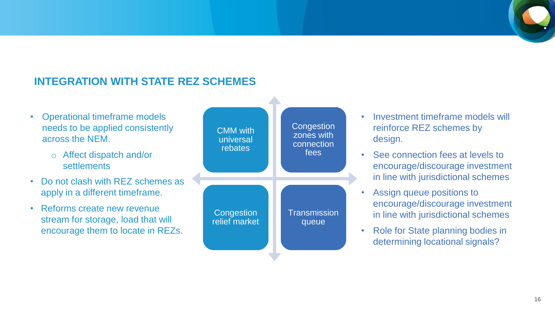## **INTEGRATION WITH STATE REZ SCHEMES**

- Operational timeframe models needs to be applied consistently across the NEM.
	- o Affect dispatch and/or **settlements**
- Do not clash with REZ schemes as apply in a different timeframe.
- Reforms create new revenue stream for storage, load that will encourage them to locate in REZs.



- Investment timeframe models will reinforce REZ schemes by design.
- See connection fees at levels to encourage/discourage investment in line with jurisdictional schemes
- Assign queue positions to encourage/discourage investment in line with jurisdictional schemes
- Role for State planning bodies in determining locational signals?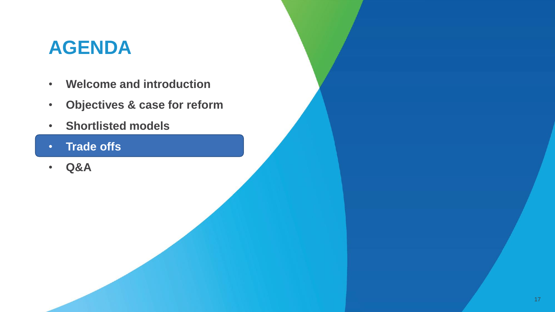## **AGENDA**

- **Welcome and introduction**
- **Objectives & case for reform**
- **Shortlisted models**
- **Trade offs**
- **Q&A**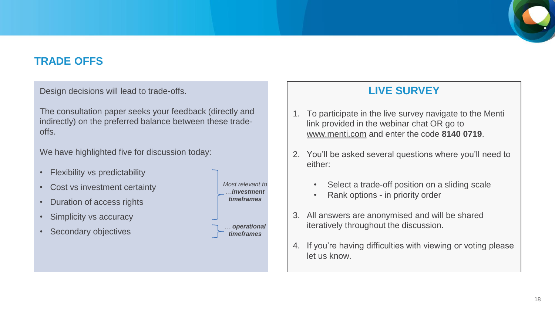

## **TRADE OFFS**

Design decisions will lead to trade-offs.

The consultation paper seeks your feedback (directly and indirectly) on the preferred balance between these tradeoffs.

We have highlighted five for discussion today:

- Flexibility vs predictability
- Cost vs investment certainty
- Duration of access rights
- Simplicity vs accuracy
- Secondary objectives

*Most relevant to …investment timeframes … operational* 

*timeframes*

## **LIVE SURVEY**

- 1. To participate in the live survey navigate to the Menti link provided in the webinar chat OR go to [www.menti.com](http://www.menti.com/) and enter the code **8140 0719**.
- 2. You'll be asked several questions where you'll need to either:
	- Select a trade-off position on a sliding scale
	- Rank options in priority order
- 3. All answers are anonymised and will be shared iteratively throughout the discussion.
- 4. If you're having difficulties with viewing or voting please let us know.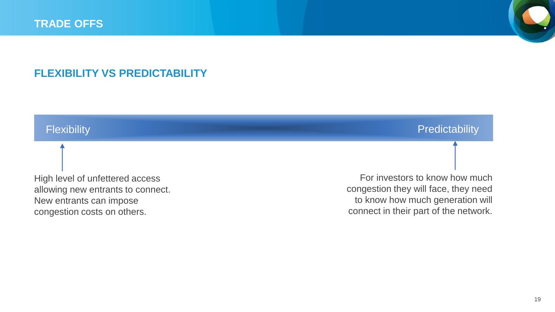

## **FLEXIBILITY VS PREDICTABILITY**

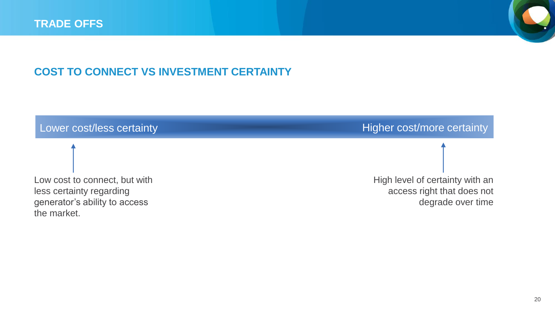

## **COST TO CONNECT VS INVESTMENT CERTAINTY**

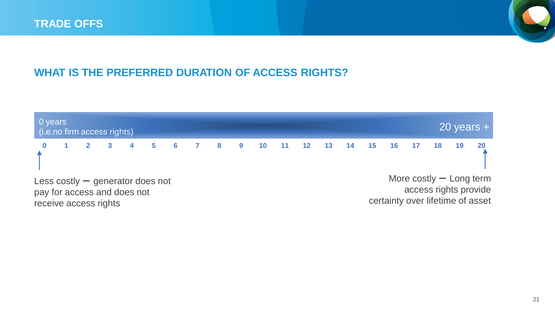

## **WHAT IS THE PREFERRED DURATION OF ACCESS RIGHTS?**

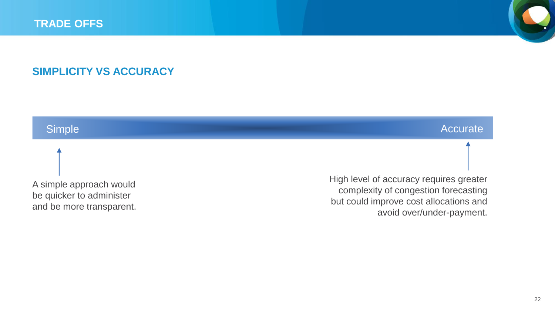

## **SIMPLICITY VS ACCURACY**

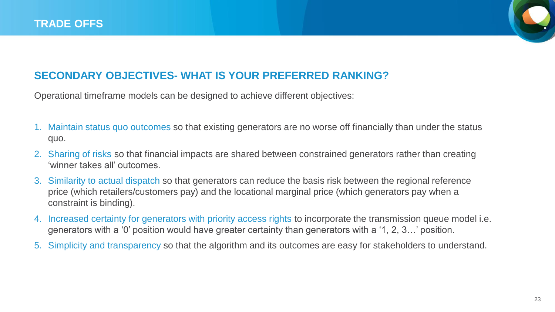

## **SECONDARY OBJECTIVES- WHAT IS YOUR PREFERRED RANKING?**

Operational timeframe models can be designed to achieve different objectives:

- 1. Maintain status quo outcomes so that existing generators are no worse off financially than under the status quo.
- 2. Sharing of risks so that financial impacts are shared between constrained generators rather than creating 'winner takes all' outcomes.
- 3. Similarity to actual dispatch so that generators can reduce the basis risk between the regional reference price (which retailers/customers pay) and the locational marginal price (which generators pay when a constraint is binding).
- 4. Increased certainty for generators with priority access rights to incorporate the transmission queue model i.e. generators with a '0' position would have greater certainty than generators with a '1, 2, 3…' position.
- 5. Simplicity and transparency so that the algorithm and its outcomes are easy for stakeholders to understand.